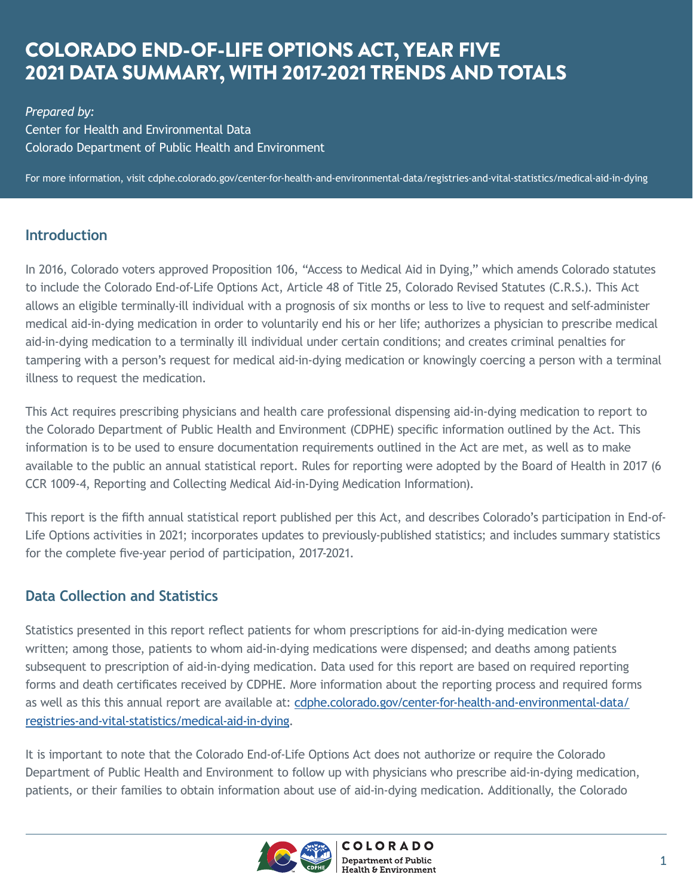# COLORADO END-OF-LIFE OPTIONS ACT, YEAR FIVE 2021 DATA SUMMARY, WITH 2017-2021 TRENDS AND TOTALS

*Prepared by:*  Center for Health and Environmental Data Colorado Department of Public Health and Environment

For more information, visit cdphe.colorado.gov/center-for-health-and-environmental-data/registries-and-vital-statistics/medical-aid-in-dying

### **Introduction**

In 2016, Colorado voters approved Proposition 106, "Access to Medical Aid in Dying," which amends Colorado statutes to include the Colorado End-of-Life Options Act, Article 48 of Title 25, Colorado Revised Statutes (C.R.S.). This Act allows an eligible terminally-ill individual with a prognosis of six months or less to live to request and self-administer medical aid-in-dying medication in order to voluntarily end his or her life; authorizes a physician to prescribe medical aid-in-dying medication to a terminally ill individual under certain conditions; and creates criminal penalties for tampering with a person's request for medical aid-in-dying medication or knowingly coercing a person with a terminal illness to request the medication.

This Act requires prescribing physicians and health care professional dispensing aid-in-dying medication to report to the Colorado Department of Public Health and Environment (CDPHE) specific information outlined by the Act. This information is to be used to ensure documentation requirements outlined in the Act are met, as well as to make available to the public an annual statistical report. Rules for reporting were adopted by the Board of Health in 2017 (6 CCR 1009-4, Reporting and Collecting Medical Aid-in-Dying Medication Information).

This report is the fifth annual statistical report published per this Act, and describes Colorado's participation in End-of-Life Options activities in 2021; incorporates updates to previously-published statistics; and includes summary statistics for the complete five-year period of participation, 2017-2021.

### **Data Collection and Statistics**

Statistics presented in this report reflect patients for whom prescriptions for aid-in-dying medication were written; among those, patients to whom aid-in-dying medications were dispensed; and deaths among patients subsequent to prescription of aid-in-dying medication. Data used for this report are based on required reporting forms and death certificates received by CDPHE. More information about the reporting process and required forms as well as this this annual report are available at: [cdphe.colorado.gov/center-for-health-and-environmental-data/](cdphe.colorado.gov/center-for-health-and-environmental-data/registries-and-vital-statistics/medical-aid-in-dying) [registries-and-vital-statistics/medical-aid-in-dying](cdphe.colorado.gov/center-for-health-and-environmental-data/registries-and-vital-statistics/medical-aid-in-dying).

It is important to note that the Colorado End-of-Life Options Act does not authorize or require the Colorado Department of Public Health and Environment to follow up with physicians who prescribe aid-in-dying medication, patients, or their families to obtain information about use of aid-in-dying medication. Additionally, the Colorado

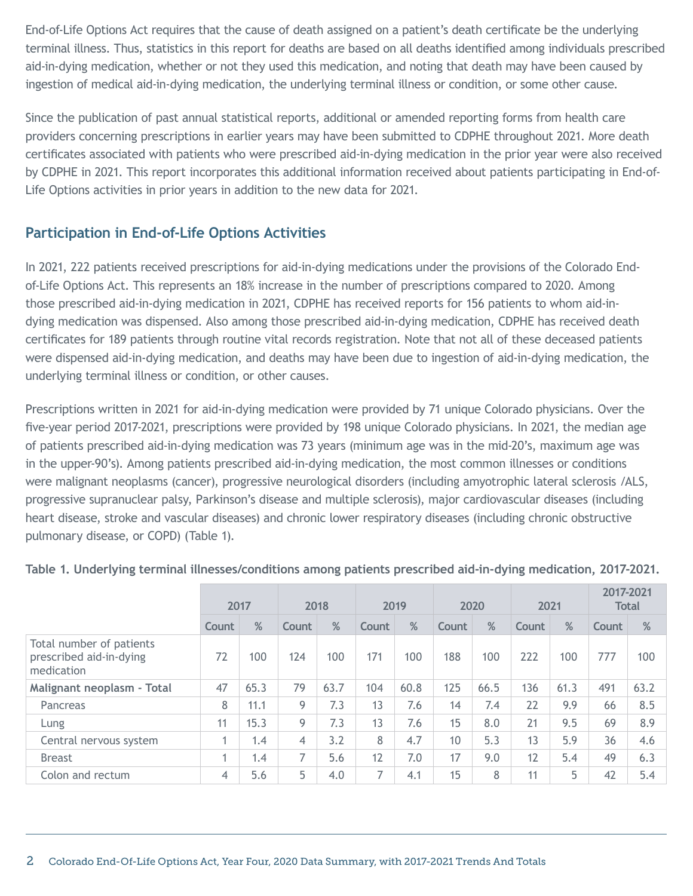End-of-Life Options Act requires that the cause of death assigned on a patient's death certificate be the underlying terminal illness. Thus, statistics in this report for deaths are based on all deaths identified among individuals prescribed aid-in-dying medication, whether or not they used this medication, and noting that death may have been caused by ingestion of medical aid-in-dying medication, the underlying terminal illness or condition, or some other cause.

Since the publication of past annual statistical reports, additional or amended reporting forms from health care providers concerning prescriptions in earlier years may have been submitted to CDPHE throughout 2021. More death certificates associated with patients who were prescribed aid-in-dying medication in the prior year were also received by CDPHE in 2021. This report incorporates this additional information received about patients participating in End-of-Life Options activities in prior years in addition to the new data for 2021.

### **Participation in End-of-Life Options Activities**

In 2021, 222 patients received prescriptions for aid-in-dying medications under the provisions of the Colorado Endof-Life Options Act. This represents an 18% increase in the number of prescriptions compared to 2020. Among those prescribed aid-in-dying medication in 2021, CDPHE has received reports for 156 patients to whom aid-indying medication was dispensed. Also among those prescribed aid-in-dying medication, CDPHE has received death certificates for 189 patients through routine vital records registration. Note that not all of these deceased patients were dispensed aid-in-dying medication, and deaths may have been due to ingestion of aid-in-dying medication, the underlying terminal illness or condition, or other causes.

Prescriptions written in 2021 for aid-in-dying medication were provided by 71 unique Colorado physicians. Over the five-year period 2017-2021, prescriptions were provided by 198 unique Colorado physicians. In 2021, the median age of patients prescribed aid-in-dying medication was 73 years (minimum age was in the mid-20's, maximum age was in the upper-90's). Among patients prescribed aid-in-dying medication, the most common illnesses or conditions were malignant neoplasms (cancer), progressive neurological disorders (including amyotrophic lateral sclerosis /ALS, progressive supranuclear palsy, Parkinson's disease and multiple sclerosis), major cardiovascular diseases (including heart disease, stroke and vascular diseases) and chronic lower respiratory diseases (including chronic obstructive pulmonary disease, or COPD) (Table 1).

|                                                                   | 2017  |      | 2018  |      | 2019  |      | 2020  |      | 2021  |      | 2017-2021<br><b>Total</b> |      |
|-------------------------------------------------------------------|-------|------|-------|------|-------|------|-------|------|-------|------|---------------------------|------|
|                                                                   | Count | %    | Count | %    | Count | %    | Count | %    | Count | %    | Count                     | %    |
| Total number of patients<br>prescribed aid-in-dying<br>medication | 72    | 100  | 124   | 100  | 171   | 100  | 188   | 100  | 222   | 100  | 777                       | 100  |
| Malignant neoplasm - Total                                        | 47    | 65.3 | 79    | 63.7 | 104   | 60.8 | 125   | 66.5 | 136   | 61.3 | 491                       | 63.2 |
| Pancreas                                                          | 8     | 11.1 | 9     | 7.3  | 13    | 7.6  | 14    | 7.4  | 22    | 9.9  | 66                        | 8.5  |
| Lung                                                              | 11    | 15.3 | 9     | 7.3  | 13    | 7.6  | 15    | 8.0  | 21    | 9.5  | 69                        | 8.9  |
| Central nervous system                                            |       | 1.4  | 4     | 3.2  | 8     | 4.7  | 10    | 5.3  | 13    | 5.9  | 36                        | 4.6  |
| <b>Breast</b>                                                     | 4     | 1.4  | 7     | 5.6  | 12    | 7.0  | 17    | 9.0  | 12    | 5.4  | 49                        | 6.3  |
| Colon and rectum                                                  | 4     | 5.6  | 5     | 4.0  |       | 4.1  | 15    | 8    | 11    | 5    | 42                        | 5.4  |

**Table 1. Underlying terminal illnesses/conditions among patients prescribed aid-in-dying medication, 2017-2021.**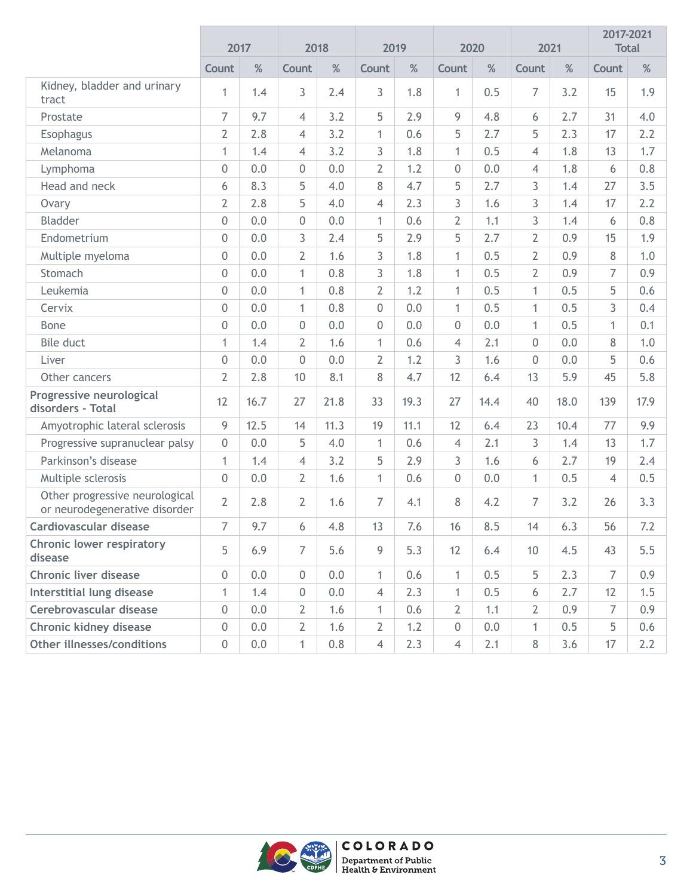|                                                                 |                  | 2017 |                  | 2018 |                | 2019 |                  | 2020 |                 | 2021 |                | 2017-2021<br><b>Total</b> |
|-----------------------------------------------------------------|------------------|------|------------------|------|----------------|------|------------------|------|-----------------|------|----------------|---------------------------|
|                                                                 | Count            | $\%$ | Count            | $\%$ | Count          | %    | Count            | $\%$ | Count           | $\%$ | Count          | $\%$                      |
| Kidney, bladder and urinary<br>tract                            | $\mathbf{1}$     | 1.4  | 3                | 2.4  | 3              | 1.8  | $\mathbf{1}$     | 0.5  | $\overline{7}$  | 3.2  | 15             | 1.9                       |
| Prostate                                                        | $\overline{7}$   | 9.7  | 4                | 3.2  | 5              | 2.9  | 9                | 4.8  | 6               | 2.7  | 31             | 4.0                       |
| Esophagus                                                       | $\overline{2}$   | 2.8  | 4                | 3.2  | $\mathbf{1}$   | 0.6  | 5                | 2.7  | 5               | 2.3  | 17             | 2.2                       |
| Melanoma                                                        | $\mathbf{1}$     | 1.4  | $\overline{4}$   | 3.2  | 3              | 1.8  | $\mathbf{1}$     | 0.5  | $\overline{4}$  | 1.8  | 13             | 1.7                       |
| Lymphoma                                                        | 0                | 0.0  | $\boldsymbol{0}$ | 0.0  | $\overline{2}$ | 1.2  | $\boldsymbol{0}$ | 0.0  | $\overline{4}$  | 1.8  | 6              | 0.8                       |
| Head and neck                                                   | 6                | 8.3  | 5                | 4.0  | 8              | 4.7  | 5                | 2.7  | 3               | 1.4  | 27             | 3.5                       |
| Ovary                                                           | $\overline{2}$   | 2.8  | 5                | 4.0  | $\overline{4}$ | 2.3  | 3                | 1.6  | 3               | 1.4  | 17             | 2.2                       |
| Bladder                                                         | 0                | 0.0  | $\mathbf 0$      | 0.0  | $\mathbf{1}$   | 0.6  | $\overline{2}$   | 1.1  | 3               | 1.4  | 6              | 0.8                       |
| Endometrium                                                     | 0                | 0.0  | 3                | 2.4  | 5              | 2.9  | 5                | 2.7  | $\overline{2}$  | 0.9  | 15             | 1.9                       |
| Multiple myeloma                                                | 0                | 0.0  | $\overline{2}$   | 1.6  | 3              | 1.8  | $\mathbf{1}$     | 0.5  | $\overline{2}$  | 0.9  | 8              | 1.0                       |
| Stomach                                                         | 0                | 0.0  | $\mathbf{1}$     | 0.8  | 3              | 1.8  | $\mathbf{1}$     | 0.5  | $\overline{2}$  | 0.9  | $\overline{7}$ | 0.9                       |
| Leukemia                                                        | 0                | 0.0  | $\mathbf{1}$     | 0.8  | $\overline{2}$ | 1.2  | $\mathbf{1}$     | 0.5  | $\mathbf{1}$    | 0.5  | 5              | 0.6                       |
| Cervix                                                          | $\overline{0}$   | 0.0  | $\mathbf{1}$     | 0.8  | $\overline{0}$ | 0.0  | $\mathbf{1}$     | 0.5  | $\mathbf{1}$    | 0.5  | 3              | 0.4                       |
| <b>Bone</b>                                                     | $\boldsymbol{0}$ | 0.0  | $\mathbf 0$      | 0.0  | 0              | 0.0  | $\boldsymbol{0}$ | 0.0  | $\mathbf{1}$    | 0.5  | $\mathbf{1}$   | 0.1                       |
| Bile duct                                                       | 1                | 1.4  | $\overline{2}$   | 1.6  | $\mathbf{1}$   | 0.6  | 4                | 2.1  | $\overline{0}$  | 0.0  | 8              | 1.0                       |
| Liver                                                           | $\Omega$         | 0.0  | $\boldsymbol{0}$ | 0.0  | $\overline{2}$ | 1.2  | 3                | 1.6  | $\Omega$        | 0.0  | 5              | 0.6                       |
| Other cancers                                                   | $\overline{2}$   | 2.8  | 10               | 8.1  | 8              | 4.7  | 12               | 6.4  | 13              | 5.9  | 45             | 5.8                       |
| Progressive neurological<br>disorders - Total                   | 12               | 16.7 | 27               | 21.8 | 33             | 19.3 | 27               | 14.4 | 40              | 18.0 | 139            | 17.9                      |
| Amyotrophic lateral sclerosis                                   | 9                | 12.5 | 14               | 11.3 | 19             | 11.1 | 12               | 6.4  | 23              | 10.4 | 77             | 9.9                       |
| Progressive supranuclear palsy                                  | 0                | 0.0  | 5                | 4.0  | $\mathbf{1}$   | 0.6  | $\overline{4}$   | 2.1  | 3               | 1.4  | 13             | 1.7                       |
| Parkinson's disease                                             | $\mathbf{1}$     | 1.4  | 4                | 3.2  | 5              | 2.9  | 3                | 1.6  | 6               | 2.7  | 19             | 2.4                       |
| Multiple sclerosis                                              | $\overline{0}$   | 0.0  | $\overline{2}$   | 1.6  | $\mathbf{1}$   | 0.6  | $\mathbf 0$      | 0.0  | $\mathbf{1}$    | 0.5  | $\overline{4}$ | 0.5                       |
| Other progressive neurological<br>or neurodegenerative disorder | $\overline{2}$   | 2.8  | 2                | 1.6  | $\overline{7}$ | 4.1  | 8                | 4.2  | 7               | 3.2  | 26             | 3.3                       |
| <b>Cardiovascular disease</b>                                   | $\overline{7}$   | 9.7  | 6                | 4.8  | 13             | 7.6  | 16               | 8.5  | 14              | 6.3  | 56             | 7.2                       |
| Chronic lower respiratory<br>disease                            | 5                | 6.9  | $\overline{7}$   | 5.6  | 9              | 5.3  | 12               | 6.4  | 10 <sup>°</sup> | 4.5  | 43             | 5.5                       |
| <b>Chronic liver disease</b>                                    | $\mathbf{0}$     | 0.0  | 0                | 0.0  | 1              | 0.6  | 1                | 0.5  | 5               | 2.3  | $\overline{7}$ | 0.9                       |
| Interstitial lung disease                                       | $\mathbf{1}$     | 1.4  | 0                | 0.0  | $\overline{4}$ | 2.3  | $\mathbf{1}$     | 0.5  | 6               | 2.7  | 12             | 1.5                       |
| Cerebrovascular disease                                         | $\mathbf{0}$     | 0.0  | 2                | 1.6  | $\mathbf{1}$   | 0.6  | $\overline{2}$   | 1.1  | $\overline{2}$  | 0.9  | 7              | 0.9                       |
| Chronic kidney disease                                          | $\overline{0}$   | 0.0  | $\overline{2}$   | 1.6  | $\overline{2}$ | 1.2  | $\boldsymbol{0}$ | 0.0  | $\mathbf{1}$    | 0.5  | 5              | 0.6                       |
| Other illnesses/conditions                                      | $\mathbf 0$      | 0.0  | 1                | 0.8  | $\overline{4}$ | 2.3  | $\overline{4}$   | 2.1  | 8               | 3.6  | 17             | 2.2                       |

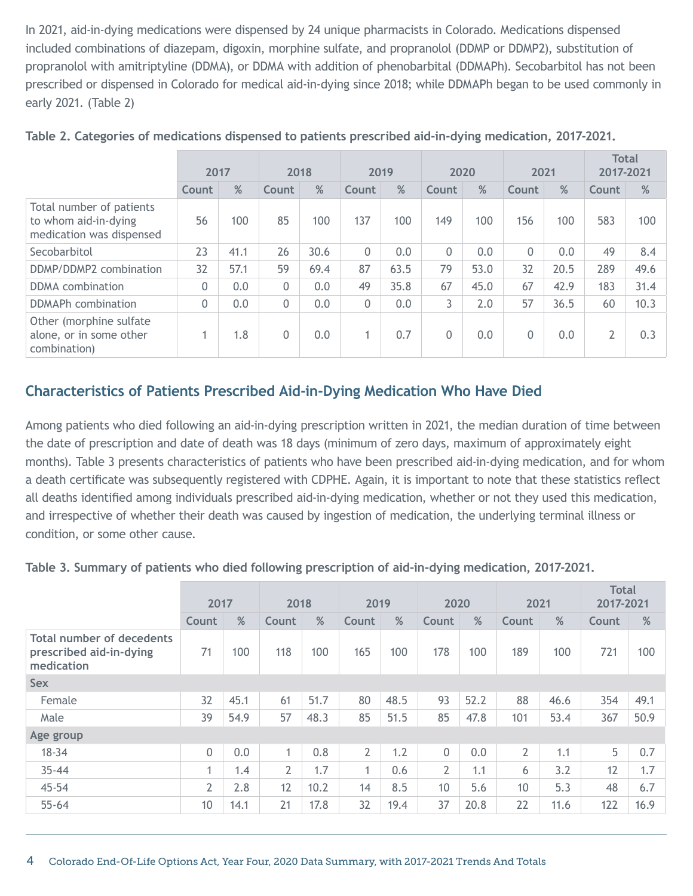In 2021, aid-in-dying medications were dispensed by 24 unique pharmacists in Colorado. Medications dispensed included combinations of diazepam, digoxin, morphine sulfate, and propranolol (DDMP or DDMP2), substitution of propranolol with amitriptyline (DDMA), or DDMA with addition of phenobarbital (DDMAPh). Secobarbitol has not been prescribed or dispensed in Colorado for medical aid-in-dying since 2018; while DDMAPh began to be used commonly in early 2021. (Table 2)

|                                                                              | 2017     |      | 2018  |      | 2019     |      | 2020     |      | 2021  |      | <b>Total</b><br>2017-2021 |      |
|------------------------------------------------------------------------------|----------|------|-------|------|----------|------|----------|------|-------|------|---------------------------|------|
|                                                                              | Count    | %    | Count | %    | Count    | %    | Count    | %    | Count | %    | Count                     | %    |
| Total number of patients<br>to whom aid-in-dying<br>medication was dispensed | 56       | 100  | 85    | 100  | 137      | 100  | 149      | 100  | 156   | 100  | 583                       | 100  |
| Secobarbitol                                                                 | 23       | 41.1 | 26    | 30.6 | $\Omega$ | 0.0  | $\Omega$ | 0.0  | 0     | 0.0  | 49                        | 8.4  |
| DDMP/DDMP2 combination                                                       | 32       | 57.1 | 59    | 69.4 | 87       | 63.5 | 79       | 53.0 | 32    | 20.5 | 289                       | 49.6 |
| DDMA combination                                                             | 0        | 0.0  | 0     | 0.0  | 49       | 35.8 | 67       | 45.0 | 67    | 42.9 | 183                       | 31.4 |
| DDMAPh combination                                                           | $\Omega$ | 0.0  | 0     | 0.0  | 0        | 0.0  | 3        | 2.0  | 57    | 36.5 | 60                        | 10.3 |
| Other (morphine sulfate)<br>alone, or in some other<br>combination)          |          | 1.8  | 0     | 0.0  | 4        | 0.7  | 0        | 0.0  | 0     | 0.0  | $\overline{2}$            | 0.3  |

|  | Table 2. Categories of medications dispensed to patients prescribed aid-in-dying medication, 2017-2021. |  |  |  |
|--|---------------------------------------------------------------------------------------------------------|--|--|--|
|  |                                                                                                         |  |  |  |
|  |                                                                                                         |  |  |  |
|  |                                                                                                         |  |  |  |

#### **Characteristics of Patients Prescribed Aid-in-Dying Medication Who Have Died**

Among patients who died following an aid-in-dying prescription written in 2021, the median duration of time between the date of prescription and date of death was 18 days (minimum of zero days, maximum of approximately eight months). Table 3 presents characteristics of patients who have been prescribed aid-in-dying medication, and for whom a death certificate was subsequently registered with CDPHE. Again, it is important to note that these statistics reflect all deaths identified among individuals prescribed aid-in-dying medication, whether or not they used this medication, and irrespective of whether their death was caused by ingestion of medication, the underlying terminal illness or condition, or some other cause.

| Table 3. Summary of patients who died following prescription of aid-in-dying medication, 2017-2021. |  |  |  |
|-----------------------------------------------------------------------------------------------------|--|--|--|
|-----------------------------------------------------------------------------------------------------|--|--|--|

|                                                                           | 2017           |      | 2018           |      | 2019           |      | 2020            |      | 2021           |      | <b>Total</b><br>2017-2021 |      |
|---------------------------------------------------------------------------|----------------|------|----------------|------|----------------|------|-----------------|------|----------------|------|---------------------------|------|
|                                                                           | Count          | %    | Count          | %    | Count          | %    | Count           | $\%$ | Count          | $\%$ | <b>Count</b>              | $\%$ |
| <b>Total number of decedents</b><br>prescribed aid-in-dying<br>medication | 71             | 100  | 118            | 100  | 165            | 100  | 178             | 100  | 189            | 100  | 721                       | 100  |
| <b>Sex</b>                                                                |                |      |                |      |                |      |                 |      |                |      |                           |      |
| Female                                                                    | 32             | 45.1 | 61             | 51.7 | 80             | 48.5 | 93              | 52.2 | 88             | 46.6 | 354                       | 49.1 |
| Male                                                                      | 39             | 54.9 | 57             | 48.3 | 85             | 51.5 | 85              | 47.8 | 101            | 53.4 | 367                       | 50.9 |
| Age group                                                                 |                |      |                |      |                |      |                 |      |                |      |                           |      |
| $18 - 34$                                                                 | 0              | 0.0  | $\mathbf{1}$   | 0.8  | $\overline{2}$ | 1.2  | 0               | 0.0  | $\overline{2}$ | 1.1  | 5                         | 0.7  |
| $35 - 44$                                                                 | 4              | 1.4  | $\overline{2}$ | 1.7  | $\mathbf{1}$   | 0.6  | $\overline{2}$  | 1.1  | 6              | 3.2  | 12                        | 1.7  |
| 45-54                                                                     | $\overline{2}$ | 2.8  | 12             | 10.2 | 14             | 8.5  | 10 <sup>°</sup> | 5.6  | 10             | 5.3  | 48                        | 6.7  |
| $55 - 64$                                                                 | 10             | 14.1 | 21             | 17.8 | 32             | 19.4 | 37              | 20.8 | 22             | 11.6 | 122                       | 16.9 |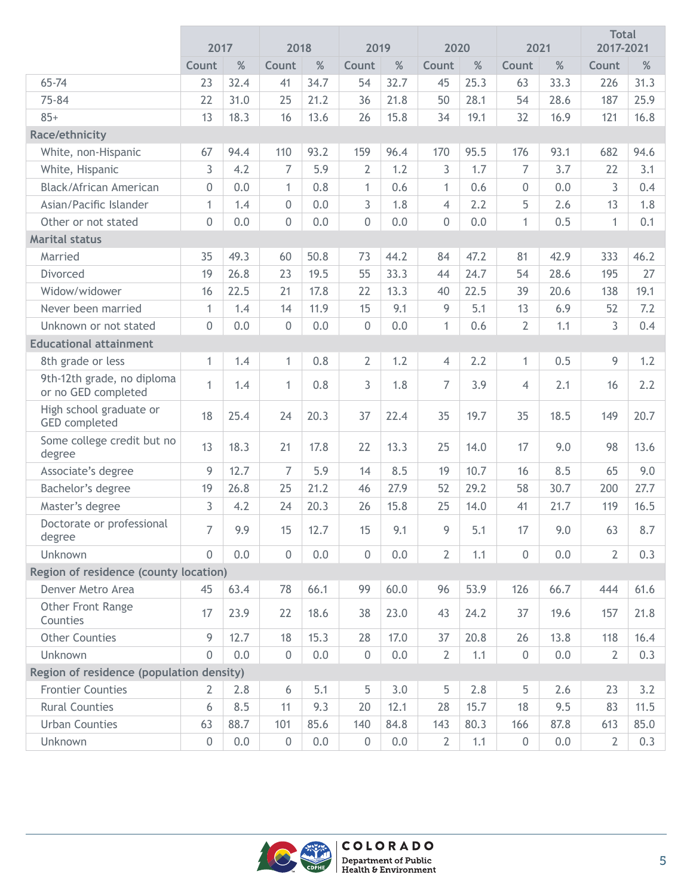|                                                   | 2017           |         | 2018             |      | 2019             |      | 2020           |      | 2021             |         | <b>Total</b><br>2017-2021 |      |
|---------------------------------------------------|----------------|---------|------------------|------|------------------|------|----------------|------|------------------|---------|---------------------------|------|
|                                                   | Count          | $\%$    | Count            | $\%$ | Count            | %    | Count          | %    | Count            | $\%$    | Count                     | $\%$ |
| 65-74                                             | 23             | 32.4    | 41               | 34.7 | 54               | 32.7 | 45             | 25.3 | 63               | 33.3    | 226                       | 31.3 |
| 75-84                                             | 22             | 31.0    | 25               | 21.2 | 36               | 21.8 | 50             | 28.1 | 54               | 28.6    | 187                       | 25.9 |
| $85+$                                             | 13             | 18.3    | 16               | 13.6 | 26               | 15.8 | 34             | 19.1 | 32               | 16.9    | 121                       | 16.8 |
| Race/ethnicity                                    |                |         |                  |      |                  |      |                |      |                  |         |                           |      |
| White, non-Hispanic                               | 67             | 94.4    | 110              | 93.2 | 159              | 96.4 | 170            | 95.5 | 176              | 93.1    | 682                       | 94.6 |
| White, Hispanic                                   | 3              | 4.2     | $\overline{7}$   | 5.9  | $\overline{2}$   | 1.2  | $\overline{3}$ | 1.7  | 7                | 3.7     | 22                        | 3.1  |
| Black/African American                            | $\mathbf 0$    | 0.0     | $\mathbf{1}$     | 0.8  | $\mathbf{1}$     | 0.6  | $\mathbf{1}$   | 0.6  | 0                | 0.0     | 3                         | 0.4  |
| Asian/Pacific Islander                            | $\mathbf{1}$   | 1.4     | $\boldsymbol{0}$ | 0.0  | 3                | 1.8  | $\overline{4}$ | 2.2  | 5                | 2.6     | 13                        | 1.8  |
| Other or not stated                               | $\mathbf 0$    | 0.0     | $\boldsymbol{0}$ | 0.0  | $\mathbf 0$      | 0.0  | 0              | 0.0  | $\mathbf{1}$     | 0.5     | $\mathbf{1}$              | 0.1  |
| <b>Marital status</b>                             |                |         |                  |      |                  |      |                |      |                  |         |                           |      |
| Married                                           | 35             | 49.3    | 60               | 50.8 | 73               | 44.2 | 84             | 47.2 | 81               | 42.9    | 333                       | 46.2 |
| Divorced                                          | 19             | 26.8    | 23               | 19.5 | 55               | 33.3 | 44             | 24.7 | 54               | 28.6    | 195                       | 27   |
| Widow/widower                                     | 16             | 22.5    | 21               | 17.8 | 22               | 13.3 | 40             | 22.5 | 39               | 20.6    | 138                       | 19.1 |
| Never been married                                | 1              | 1.4     | 14               | 11.9 | 15               | 9.1  | 9              | 5.1  | 13               | 6.9     | 52                        | 7.2  |
| Unknown or not stated                             | $\mathbf 0$    | 0.0     | $\boldsymbol{0}$ | 0.0  | $\mathbf 0$      | 0.0  | $\mathbf{1}$   | 0.6  | $\overline{2}$   | 1.1     | 3                         | 0.4  |
| <b>Educational attainment</b>                     |                |         |                  |      |                  |      |                |      |                  |         |                           |      |
| 8th grade or less                                 | 1              | 1.4     | $\mathbf{1}$     | 0.8  | $\overline{2}$   | 1.2  | $\overline{4}$ | 2.2  | $\mathbf{1}$     | 0.5     | 9                         | 1.2  |
| 9th-12th grade, no diploma<br>or no GED completed | $\mathbf{1}$   | 1.4     | 1                | 0.8  | 3                | 1.8  | $\overline{7}$ | 3.9  | $\overline{4}$   | 2.1     | 16                        | 2.2  |
| High school graduate or<br><b>GED</b> completed   | 18             | 25.4    | 24               | 20.3 | 37               | 22.4 | 35             | 19.7 | 35               | 18.5    | 149                       | 20.7 |
| Some college credit but no<br>degree              | 13             | 18.3    | 21               | 17.8 | 22               | 13.3 | 25             | 14.0 | 17               | 9.0     | 98                        | 13.6 |
| Associate's degree                                | 9              | 12.7    | $\overline{7}$   | 5.9  | 14               | 8.5  | 19             | 10.7 | 16               | 8.5     | 65                        | 9.0  |
| Bachelor's degree                                 | 19             | 26.8    | 25               | 21.2 | 46               | 27.9 | 52             | 29.2 | 58               | 30.7    | 200                       | 27.7 |
| Master's degree                                   | 3              | 4.2     | 24               | 20.3 | 26               | 15.8 | 25             | 14.0 | 41               | 21.7    | 119                       | 16.5 |
| Doctorate or professional<br>degree               | 7              | 9.9     | 15               | 12.7 | 15               | 9.1  | 9              | 5.1  | 17               | 9.0     | 63                        | 8.7  |
| Unknown                                           | 0              | 0.0     | $\boldsymbol{0}$ | 0.0  | $\mathbf 0$      | 0.0  | $\overline{2}$ | 1.1  | 0                | 0.0     | $\overline{2}$            | 0.3  |
| Region of residence (county location)             |                |         |                  |      |                  |      |                |      |                  |         |                           |      |
| Denver Metro Area                                 | 45             | 63.4    | 78               | 66.1 | 99               | 60.0 | 96             | 53.9 | 126              | 66.7    | 444                       | 61.6 |
| Other Front Range<br>Counties                     | 17             | 23.9    | 22               | 18.6 | 38               | 23.0 | 43             | 24.2 | 37               | 19.6    | 157                       | 21.8 |
| <b>Other Counties</b>                             | 9              | 12.7    | 18               | 15.3 | 28               | 17.0 | 37             | 20.8 | 26               | 13.8    | 118                       | 16.4 |
| Unknown                                           | $\overline{0}$ | 0.0     | $\boldsymbol{0}$ | 0.0  | $\boldsymbol{0}$ | 0.0  | $\overline{2}$ | 1.1  | $\boldsymbol{0}$ | 0.0     | $\overline{2}$            | 0.3  |
| Region of residence (population density)          |                |         |                  |      |                  |      |                |      |                  |         |                           |      |
| <b>Frontier Counties</b>                          | 2              | 2.8     | 6                | 5.1  | 5                | 3.0  | 5              | 2.8  | 5                | 2.6     | 23                        | 3.2  |
| <b>Rural Counties</b>                             | 6              | 8.5     | 11               | 9.3  | 20               | 12.1 | 28             | 15.7 | 18               | 9.5     | 83                        | 11.5 |
| <b>Urban Counties</b>                             | 63             | 88.7    | 101              | 85.6 | 140              | 84.8 | 143            | 80.3 | 166              | 87.8    | 613                       | 85.0 |
| Unknown                                           | $\mathbf{0}$   | $0.0\,$ | $\boldsymbol{0}$ | 0.0  | $\boldsymbol{0}$ | 0.0  | $\overline{2}$ | 1.1  | 0                | $0.0\,$ | $\overline{2}$            | 0.3  |

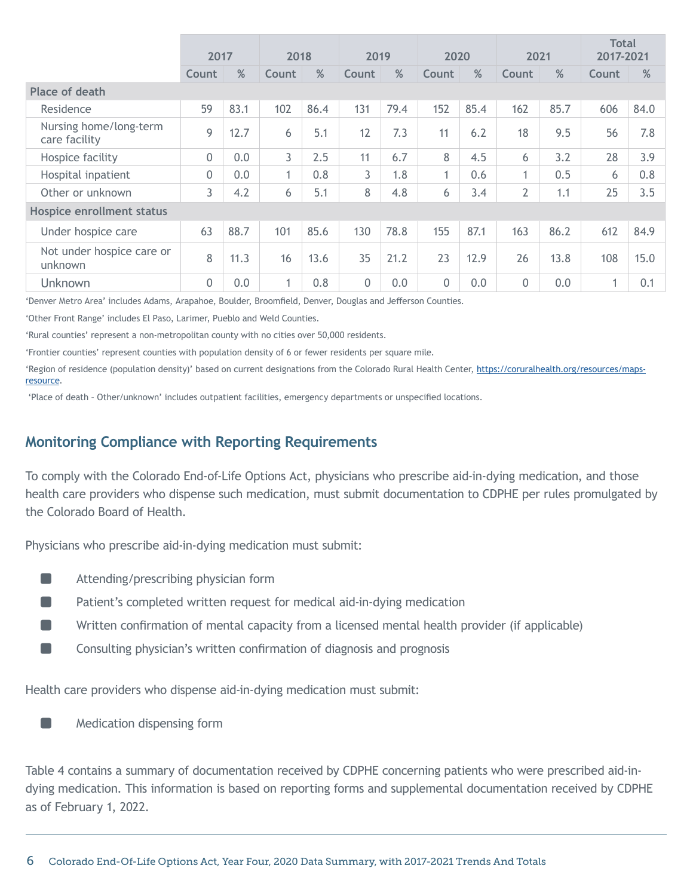|                                         | 2017         |      |              | 2018 |              | 2019 |                | 2020 |                | 2021 |              | <b>Total</b><br>2017-2021 |
|-----------------------------------------|--------------|------|--------------|------|--------------|------|----------------|------|----------------|------|--------------|---------------------------|
|                                         | Count        | %    | <b>Count</b> | %    | <b>Count</b> | %    | <b>Count</b>   | %    | <b>Count</b>   | %    | <b>Count</b> | %                         |
| Place of death                          |              |      |              |      |              |      |                |      |                |      |              |                           |
| Residence                               | 59           | 83.1 | 102          | 86.4 | 131          | 79.4 | 152            | 85.4 | 162            | 85.7 | 606          | 84.0                      |
| Nursing home/long-term<br>care facility | 9            | 12.7 | 6            | 5.1  | 12           | 7.3  | 11             | 6.2  | 18             | 9.5  | 56           | 7.8                       |
| Hospice facility                        | $\mathbf 0$  | 0.0  | 3            | 2.5  | 11           | 6.7  | 8              | 4.5  | 6              | 3.2  | 28           | 3.9                       |
| Hospital inpatient                      | $\mathbf{0}$ | 0.0  | $\mathbf{1}$ | 0.8  | 3            | 1.8  | 1              | 0.6  | 1              | 0.5  | 6            | 0.8                       |
| Other or unknown                        | 3            | 4.2  | 6            | 5.1  | 8            | 4.8  | 6              | 3.4  | $\overline{2}$ | 1.1  | 25           | 3.5                       |
| Hospice enrollment status               |              |      |              |      |              |      |                |      |                |      |              |                           |
| Under hospice care                      | 63           | 88.7 | 101          | 85.6 | 130          | 78.8 | 155            | 87.1 | 163            | 86.2 | 612          | 84.9                      |
| Not under hospice care or<br>unknown    | 8            | 11.3 | 16           | 13.6 | 35           | 21.2 | 23             | 12.9 | 26             | 13.8 | 108          | 15.0                      |
| Unknown                                 | $\mathbf{0}$ | 0.0  | $\mathbf{1}$ | 0.8  | 0            | 0.0  | $\overline{0}$ | 0.0  | 0              | 0.0  | 1            | 0.1                       |

'Denver Metro Area' includes Adams, Arapahoe, Boulder, Broomfield, Denver, Douglas and Jefferson Counties.

'Other Front Range' includes El Paso, Larimer, Pueblo and Weld Counties.

'Rural counties' represent a non-metropolitan county with no cities over 50,000 residents.

'Frontier counties' represent counties with population density of 6 or fewer residents per square mile.

'Region of residence (population density)' based on current designations from the Colorado Rural Health Center, [https://coruralhealth.org/resources/maps](https://coruralhealth.org/resources/maps-resource)[resource.](https://coruralhealth.org/resources/maps-resource)

'Place of death – Other/unknown' includes outpatient facilities, emergency departments or unspecified locations.

#### **Monitoring Compliance with Reporting Requirements**

To comply with the Colorado End-of-Life Options Act, physicians who prescribe aid-in-dying medication, and those health care providers who dispense such medication, must submit documentation to CDPHE per rules promulgated by the Colorado Board of Health.

Physicians who prescribe aid-in-dying medication must submit:

- ½ Attending/prescribing physician form
- Patient's completed written request for medical aid-in-dying medication
- Written confirmation of mental capacity from a licensed mental health provider (if applicable)
- ½ Consulting physician's written confirmation of diagnosis and prognosis

Health care providers who dispense aid-in-dying medication must submit:

½ Medication dispensing form

Table 4 contains a summary of documentation received by CDPHE concerning patients who were prescribed aid-indying medication. This information is based on reporting forms and supplemental documentation received by CDPHE as of February 1, 2022.